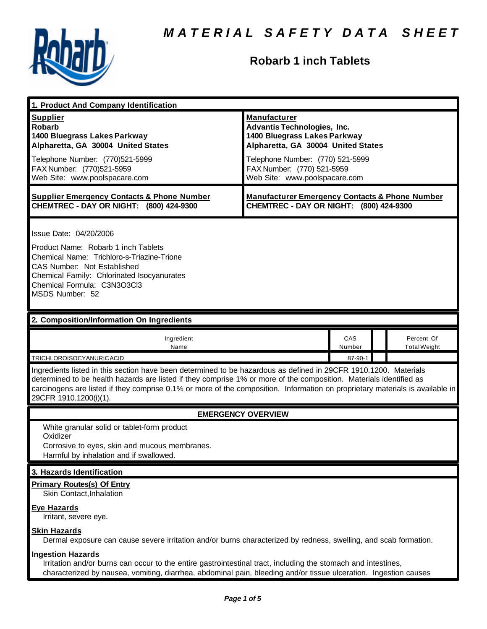

# **Robarb 1 inch Tablets**

| 1. Product And Company Identification                                                                                                                                                                                                                                                                                                                                                             |                                                                                                                                                                                                                                    |               |  |                                   |
|---------------------------------------------------------------------------------------------------------------------------------------------------------------------------------------------------------------------------------------------------------------------------------------------------------------------------------------------------------------------------------------------------|------------------------------------------------------------------------------------------------------------------------------------------------------------------------------------------------------------------------------------|---------------|--|-----------------------------------|
| <b>Supplier</b><br><b>Robarb</b><br>1400 Bluegrass Lakes Parkway<br>Alpharetta, GA 30004 United States<br>Telephone Number: (770)521-5999<br>FAX Number: (770)521-5959<br>Web Site: www.poolspacare.com                                                                                                                                                                                           | <b>Manufacturer</b><br><b>Advantis Technologies, Inc.</b><br>1400 Bluegrass Lakes Parkway<br>Alpharetta, GA 30004 United States<br>Telephone Number: (770) 521-5999<br>FAX Number: (770) 521-5959<br>Web Site: www.poolspacare.com |               |  |                                   |
| <b>Supplier Emergency Contacts &amp; Phone Number</b><br>CHEMTREC - DAY OR NIGHT: (800) 424-9300                                                                                                                                                                                                                                                                                                  | <b>Manufacturer Emergency Contacts &amp; Phone Number</b><br>CHEMTREC - DAY OR NIGHT: (800) 424-9300                                                                                                                               |               |  |                                   |
| Issue Date: 04/20/2006<br>Product Name: Robarb 1 inch Tablets<br>Chemical Name: Trichloro-s-Triazine-Trione<br><b>CAS Number: Not Established</b><br>Chemical Family: Chlorinated Isocyanurates<br>Chemical Formula: C3N3O3Cl3<br>MSDS Number: 52                                                                                                                                                 |                                                                                                                                                                                                                                    |               |  |                                   |
| 2. Composition/Information On Ingredients                                                                                                                                                                                                                                                                                                                                                         |                                                                                                                                                                                                                                    |               |  |                                   |
| Ingredient<br>Name                                                                                                                                                                                                                                                                                                                                                                                |                                                                                                                                                                                                                                    | CAS<br>Number |  | Percent Of<br><b>Total Weight</b> |
| TRICHLOROISOCYANURICACID                                                                                                                                                                                                                                                                                                                                                                          |                                                                                                                                                                                                                                    | 87-90-1       |  |                                   |
| Ingredients listed in this section have been determined to be hazardous as defined in 29CFR 1910.1200. Materials<br>determined to be health hazards are listed if they comprise 1% or more of the composition. Materials identified as<br>carcinogens are listed if they comprise 0.1% or more of the composition. Information on proprietary materials is available in<br>29CFR 1910.1200(i)(1). |                                                                                                                                                                                                                                    |               |  |                                   |
| <b>EMERGENCY OVERVIEW</b>                                                                                                                                                                                                                                                                                                                                                                         |                                                                                                                                                                                                                                    |               |  |                                   |
| White granular solid or tablet-form product<br>Oxidizer<br>Corrosive to eyes, skin and mucous membranes.<br>Harmful by inhalation and if swallowed.                                                                                                                                                                                                                                               |                                                                                                                                                                                                                                    |               |  |                                   |
| 3. Hazards Identification                                                                                                                                                                                                                                                                                                                                                                         |                                                                                                                                                                                                                                    |               |  |                                   |
| <b>Primary Routes(s) Of Entry</b><br>Skin Contact, Inhalation<br><b>Eye Hazards</b>                                                                                                                                                                                                                                                                                                               |                                                                                                                                                                                                                                    |               |  |                                   |
| Irritant, severe eye.<br><b>Skin Hazards</b><br>Dermal exposure can cause severe irritation and/or burns characterized by redness, swelling, and scab formation.                                                                                                                                                                                                                                  |                                                                                                                                                                                                                                    |               |  |                                   |
| <b>Ingestion Hazards</b><br>Irritation and/or burns can occur to the entire gastrointestinal tract, including the stomach and intestines,<br>characterized by nausea, vomiting, diarrhea, abdominal pain, bleeding and/or tissue ulceration. Ingestion causes                                                                                                                                     |                                                                                                                                                                                                                                    |               |  |                                   |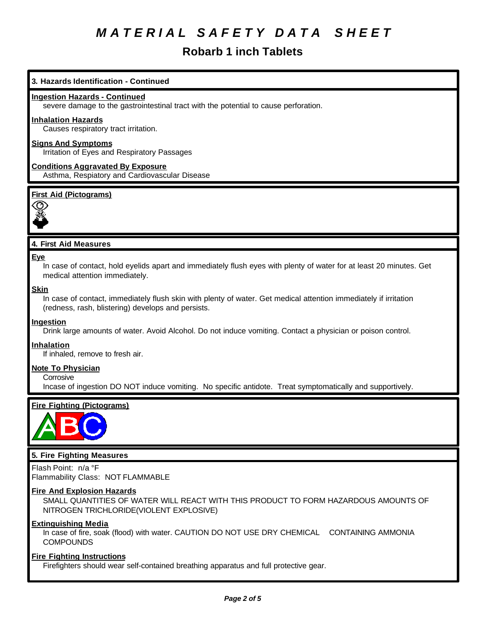# **Robarb 1 inch Tablets**

# **3. Hazards Identification - Continued**

#### **Ingestion Hazards - Continued**

severe damage to the gastrointestinal tract with the potential to cause perforation.

#### **Inhalation Hazards**

Causes respiratory tract irritation.

# **Signs And Symptoms**

Irritation of Eyes and Respiratory Passages

**Conditions Aggravated By Exposure** Asthma, Respiatory and Cardiovascular Disease

# **First Aid (Pictograms)**



# **4. First Aid Measures**

#### **Eye**

In case of contact, hold eyelids apart and immediately flush eyes with plenty of water for at least 20 minutes. Get medical attention immediately.

#### **Skin**

In case of contact, immediately flush skin with plenty of water. Get medical attention immediately if irritation (redness, rash, blistering) develops and persists.

#### **Ingestion**

Drink large amounts of water. Avoid Alcohol. Do not induce vomiting. Contact a physician or poison control.

#### **Inhalation**

If inhaled, remove to fresh air.

#### **Note To Physician**

**Corrosive** 

Incase of ingestion DO NOT induce vomiting. No specific antidote. Treat symptomatically and supportively.

# **Fire Fighting (Pictograms)**



# **5. Fire Fighting Measures**

Flash Point: n/a °F Flammability Class: NOT FLAMMABLE

#### **Fire And Explosion Hazards**

SMALL QUANTITIES OF WATER WILL REACT WITH THIS PRODUCT TO FORM HAZARDOUS AMOUNTS OF NITROGEN TRICHLORIDE(VIOLENT EXPLOSIVE)

#### **Extinguishing Media**

In case of fire, soak (flood) with water. CAUTION DO NOT USE DRY CHEMICAL CONTAINING AMMONIA **COMPOUNDS** 

#### **Fire Fighting Instructions**

Firefighters should wear self-contained breathing apparatus and full protective gear.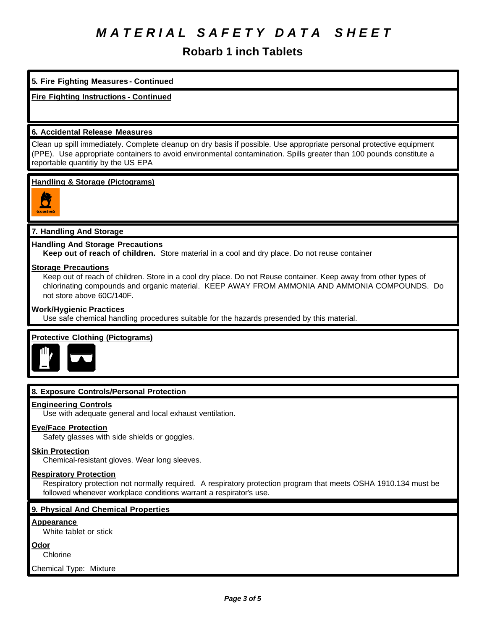# **Robarb 1 inch Tablets**

# **5. Fire Fighting Measures - Continued**

# **Fire Fighting Instructions - Continued**

#### **6. Accidental Release Measures**

Clean up spill immediately. Complete cleanup on dry basis if possible. Use appropriate personal protective equipment (PPE). Use appropriate containers to avoid environmental contamination. Spills greater than 100 pounds constitute a reportable quantitiy by the US EPA

#### **Handling & Storage (Pictograms)**



# **7. Handling And Storage**

#### **Handling And Storage Precautions**

**Keep out of reach of children.** Store material in a cool and dry place. Do not reuse container

#### **Storage Precautions**

Keep out of reach of children. Store in a cool dry place. Do not Reuse container. Keep away from other types of chlorinating compounds and organic material. KEEP AWAY FROM AMMONIA AND AMMONIA COMPOUNDS. Do not store above 60C/140F.

#### **Work/Hygienic Practices**

Use safe chemical handling procedures suitable for the hazards presended by this material.

# **Protective Clothing (Pictograms)**



# **8. Exposure Controls/Personal Protection**

#### **Engineering Controls**

Use with adequate general and local exhaust ventilation.

# **Eye/Face Protection**

Safety glasses with side shields or goggles.

#### **Skin Protection**

Chemical-resistant gloves. Wear long sleeves.

#### **Respiratory Protection**

Respiratory protection not normally required. A respiratory protection program that meets OSHA 1910.134 must be followed whenever workplace conditions warrant a respirator's use.

# **9. Physical And Chemical Properties**

#### **Appearance**

White tablet or stick

#### **Odor**

**Chlorine** 

Chemical Type: Mixture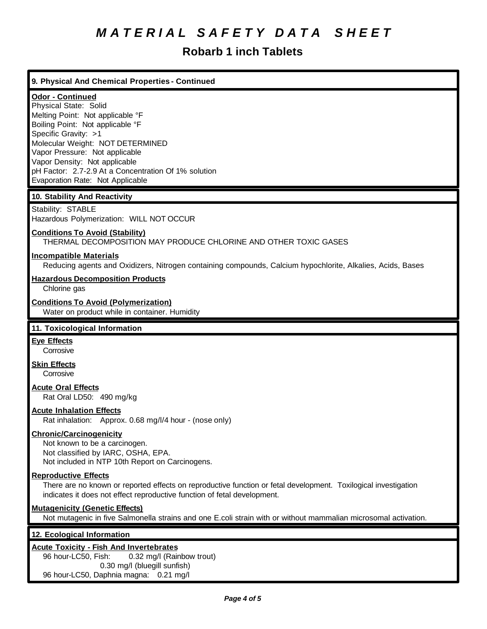# **Robarb 1 inch Tablets**

# **9. Physical And Chemical Properties - Continued**

# **Odor - Continued**

Physical State: Solid Melting Point: Not applicable °F Boiling Point: Not applicable °F Specific Gravity: >1 Molecular Weight: NOT DETERMINED Vapor Pressure: Not applicable Vapor Density: Not applicable pH Factor: 2.7-2.9 At a Concentration Of 1% solution Evaporation Rate: Not Applicable

#### **10. Stability And Reactivity**

Stability: STABLE Hazardous Polymerization: WILL NOT OCCUR

#### **Conditions To Avoid (Stability)**

THERMAL DECOMPOSITION MAY PRODUCE CHLORINE AND OTHER TOXIC GASES

#### **Incompatible Materials**

Reducing agents and Oxidizers, Nitrogen containing compounds, Calcium hypochlorite, Alkalies, Acids, Bases

#### **Hazardous Decomposition Products**

Chlorine gas

#### **Conditions To Avoid (Polymerization)**

Water on product while in container. Humidity

# **11. Toxicological Information**

# **Eye Effects**

**Corrosive** 

**Skin Effects**

**Corrosive** 

# **Acute Oral Effects**

Rat Oral LD50: 490 mg/kg

#### **Acute Inhalation Effects**

Rat inhalation: Approx. 0.68 mg/l/4 hour - (nose only)

#### **Chronic/Carcinogenicity**

Not known to be a carcinogen. Not classified by IARC, OSHA, EPA. Not included in NTP 10th Report on Carcinogens.

#### **Reproductive Effects**

There are no known or reported effects on reproductive function or fetal development. Toxilogical investigation indicates it does not effect reproductive function of fetal development.

#### **Mutagenicity (Genetic Effects)**

Not mutagenic in five Salmonella strains and one E.coli strain with or without mammalian microsomal activation.

#### **12. Ecological Information**

#### **Acute Toxicity - Fish And Invertebrates**

96 hour-LC50, Fish: 0.32 mg/l (Rainbow trout) 0.30 mg/l (bluegill sunfish) 96 hour-LC50, Daphnia magna: 0.21 mg/l